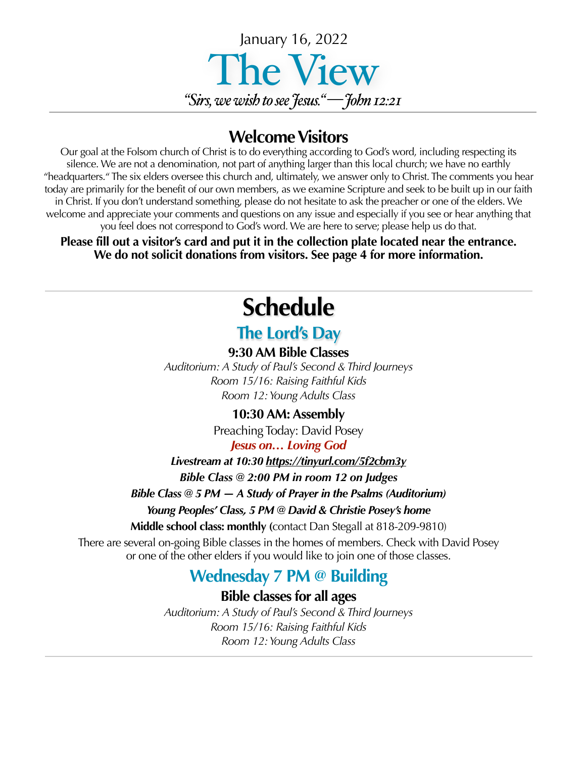

### **Welcome Visitors**

Our goal at the Folsom church of Christ is to do everything according to God's word, including respecting its silence. We are not a denomination, not part of anything larger than this local church; we have no earthly "headquarters." The six elders oversee this church and, ultimately, we answer only to Christ. The comments you hear today are primarily for the benefit of our own members, as we examine Scripture and seek to be built up in our faith in Christ. If you don't understand something, please do not hesitate to ask the preacher or one of the elders. We welcome and appreciate your comments and questions on any issue and especially if you see or hear anything that you feel does not correspond to God's word. We are here to serve; please help us do that.

**Please fill out a visitor's card and put it in the collection plate located near the entrance. We do not solicit donations from visitors. See page 4 for more information.**

## **Schedule**

#### **The Lord's Day**

**9:30 AM Bible Classes** *Auditorium: A Study of Paul's Second & Third Journeys Room 15/16: Raising Faithful Kids Room 12: Young Adults Class*

#### **10:30 AM: Assembly**

Preaching Today: David Posey *Jesus on… Loving God* 

*Livestream at 10:30<https://tinyurl.com/5f2cbm3y>*

*Bible Class @ 2:00 PM in room 12 on Judges*

*Bible Class @ 5 PM — A Study of Prayer in the Psalms (Auditorium)*

*Young Peoples' Class, 5 PM @ David & Christie Posey's home* 

**Middle school class: monthly (**contact Dan Stegall at 818-209-9810)

There are several on-going Bible classes in the homes of members. Check with David Posey or one of the other elders if you would like to join one of those classes.

### **Wednesday 7 PM @ Building**

**Bible classes for all ages**

*Auditorium: A Study of Paul's Second & Third Journeys Room 15/16: Raising Faithful Kids Room 12: Young Adults Class*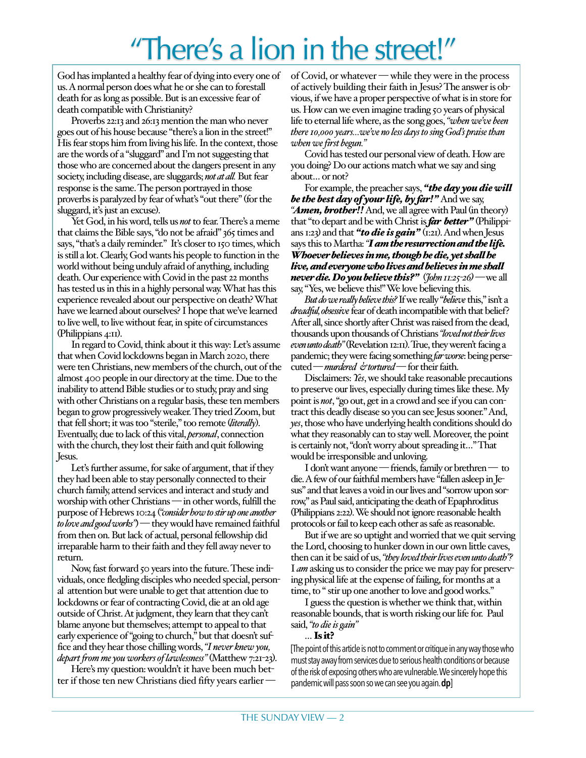## "There's a lion in the street!"

God has implanted a healthy fear of dying into every one of us. A normal person does what he or she can to forestall death for as long as possible. But is an excessive fear of death compatible with Christianity?

Proverbs 22:13 and 26:13 mention the man who never goes out of his house because "there's a lion in the street!" His fear stops him from living his life. In the context, those are the words of a "sluggard" and I'm not suggesting that those who are concerned about the dangers present in any society, including disease, are sluggards; *not at all.* But fear response is the same. The person portrayed in those proverbs is paralyzed by fear of what's "out there" (for the sluggard, it's just an excuse).

Yet God, in his word, tells us *not* to fear. There's a meme that claims the Bible says, "do not be afraid" 365 times and says, "that's a daily reminder." It's closer to 150 times, which is still a lot. Clearly, God wants his people to function in the world without being unduly afraid of anything, including death. Our experience with Covid in the past 22 months has tested us in this in a highly personal way. What has this experience revealed about our perspective on death? What have we learned about ourselves? I hope that we've learned to live well, to live without fear, in spite of circumstances (Philippians 4:11).

In regard to Covid, think about it this way: Let's assume that when Covid lockdowns began in March 2020, there were ten Christians, new members of the church, out of the almost 400 people in our directory at the time. Due to the inability to attend Bible studies or to study, pray and sing with other Christians on a regular basis, these ten members began to grow progressively weaker. They tried Zoom, but that fell short; it was too "sterile," too remote (*literally*). Eventually, due to lack of this vital, *personal*, connection with the church, they lost their faith and quit following Jesus.

Let's further assume, for sake of argument, that if they they had been able to stay personally connected to their church family, attend services and interact and study and worship with other Christians — in other words, fulfill the purpose of Hebrews 10:24 (*"consider how to stir up one another to love and good works"*)— they would have remained faithful from then on. But lack of actual, personal fellowship did irreparable harm to their faith and they fell away never to return.

Now, fast forward 50 years into the future. These individuals, once fledgling disciples who needed special, personal attention but were unable to get that attention due to lockdowns or fear of contracting Covid, die at an old age outside of Christ. At judgment, they learn that they can't blame anyone but themselves; attempt to appeal to that early experience of "going to church," but that doesn't suffice and they hear those chilling words, *"I never knew you, depart from me you workers of lawlessness"* (Matthew 7:21-23).

Here's my question: wouldn't it have been much better if those ten new Christians died fifty years earlier — of Covid, or whatever — while they were in the process of actively building their faith in Jesus? The answer is obvious, if we have a proper perspective of what is in store for us. How can we even imagine trading 50 years of physical life to eternal life where, as the song goes, *"when we've been there 10,000 years…we've no less days to sing God's praise than when we first begun."*

Covid has tested our personal view of death. How are you doing? Do our actions match what we say and sing about… or not?

For example, the preacher says, *"the day you die will be the best day of your life, by far!"* And we say, "*Amen, brother!!* And, we all agree with Paul (in theory) that "to depart and be with Christ is *far better"* (Philippians 1:23) and that *"to die is gain"* (1:21). And when Jesus says this to Martha: *"I am the resurrection and the life. Whoever believes in me, though he die, yet shall he live, and everyone who lives and believes in me shall never die. Do you believe this?"* (*John 11:25-26)—*we all say, "Yes, we believe this!" We love believing this.

*But do we really believe this?* If we really "*believe* this," isn't a *dreadful, obsessive* fear of death incompatible with that belief? After all, since shortly after Christ was raised from the dead, thousands upon thousands of Christians *"loved not their lives even unto death"*(Revelation 12:11). True, they weren't facing a pandemic; they were facing something *far worse*: being persecuted —*murdered & tortured*— for their faith.

Disclaimers: *Yes*, we should take reasonable precautions to preserve our lives, especially during times like these. My point is *not*, "go out, get in a crowd and see if you can contract this deadly disease so you can see Jesus sooner." And, *yes*, those who have underlying health conditions should do what they reasonably can to stay well. Moreover, the point is certainly not, "don't worry about spreading it…" That would be irresponsible and unloving.

I don't want anyone — friends, family or brethren — to die. A few of our faithful members have "fallen asleep in Jesus" and that leaves a void in our lives and "sorrow upon sorrow," as Paul said, anticipating the death of Epaphroditus (Philippians 2:22). We should not ignore reasonable health protocols or fail to keep each other as safe as reasonable.

But if we are so uptight and worried that we quit serving the Lord, choosing to hunker down in our own little caves, then can it be said of us, *"they loved their lives even unto death"?*  I *am* asking us to consider the price we may pay for preserving physical life at the expense of failing, for months at a time, to " stir up one another to love and good works."

I guess the question is whether we think that, within reasonable bounds, that is worth risking our life for. Paul said, *"to die is gain"* 

… Is it?

[The point of this article is not to comment or critique in any way those who must stay away from services due to serious health conditions or because of the risk of exposing others who are vulnerable. We sincerely hope this pandemic will pass soon so we can see you again. **dp**]